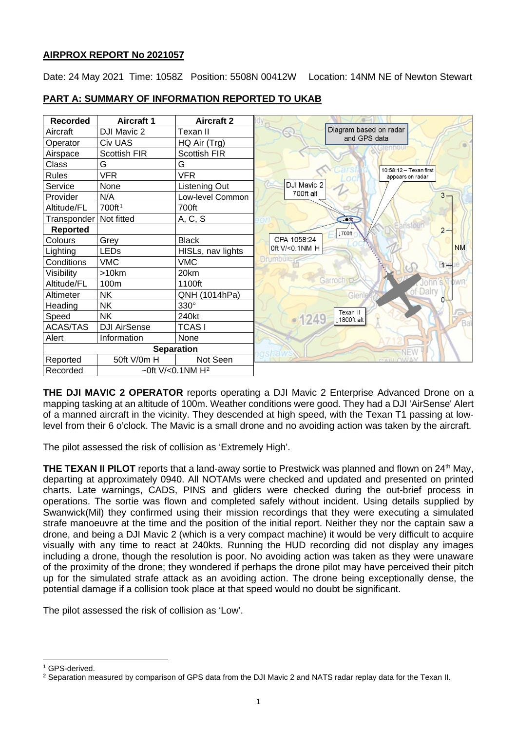# **AIRPROX REPORT No 2021057**

Date: 24 May 2021 Time: 1058Z Position: 5508N 00412W Location: 14NM NE of Newton Stewart

| <b>Recorded</b>                              | <b>Aircraft 1</b>   | <b>Aircraft 2</b>   |                                   |
|----------------------------------------------|---------------------|---------------------|-----------------------------------|
| Aircraft                                     | DJI Mavic 2         | Texan II            | Diagram based on radar            |
| Operator                                     | Civ UAS             | HQ Air (Trg)        | and GPS data                      |
| Airspace                                     | <b>Scottish FIR</b> | <b>Scottish FIR</b> |                                   |
| Class                                        | G                   | G                   | 10:58:12 - Texan first            |
| <b>Rules</b>                                 | <b>VFR</b>          | <b>VFR</b>          | appears on radar                  |
| Service                                      | None                | Listening Out       | DJI Mavic 2                       |
| Provider                                     | N/A                 | Low-level Common    | 700ft alt<br>$3 -$                |
| Altitude/FL                                  | 700ft <sup>1</sup>  | 700ft               |                                   |
| Transponder                                  | Not fitted          | A, C, S             | $-1$                              |
| <b>Reported</b>                              |                     |                     | $2 -$<br>↓700ft                   |
| Colours                                      | Grey                | <b>Black</b>        | CPA 1058:24                       |
| Lighting                                     | <b>LEDs</b>         | HISLs, nav lights   | <b>NM</b><br>0ft V/<0.1NM H       |
| Conditions                                   | <b>VMC</b>          | <b>VMC</b>          | <b>Drumbule</b><br>Bog            |
| Visibility                                   | >10km               | 20km                |                                   |
| Altitude/FL                                  | 100m                | 1100ft              | Garroch <sub>C</sub>              |
| Altimeter                                    | <b>NK</b>           | QNH (1014hPa)       | of-Dalry<br>Glenle                |
| Heading                                      | <b>NK</b>           | 330°                |                                   |
| Speed                                        | <b>NK</b>           | 240kt               | Texan II<br>$-1249$<br>1800ft alt |
| <b>ACAS/TAS</b>                              | <b>DJI AirSense</b> | <b>TCASI</b>        |                                   |
| Alert                                        | Information         | None                |                                   |
| <b>Separation</b>                            |                     |                     | NEW                               |
| Reported                                     | 50ft V/0m H         | Not Seen            |                                   |
| $~10$ ft V/<0.1NM H <sup>2</sup><br>Recorded |                     |                     |                                   |

# **PART A: SUMMARY OF INFORMATION REPORTED TO UKAB**

**THE DJI MAVIC 2 OPERATOR** reports operating a DJI Mavic 2 Enterprise Advanced Drone on a mapping tasking at an altitude of 100m. Weather conditions were good. They had a DJI 'AirSense' Alert of a manned aircraft in the vicinity. They descended at high speed, with the Texan T1 passing at lowlevel from their 6 o'clock. The Mavic is a small drone and no avoiding action was taken by the aircraft.

The pilot assessed the risk of collision as 'Extremely High'.

**THE TEXAN II PILOT** reports that a land-away sortie to Prestwick was planned and flown on 24<sup>th</sup> May, departing at approximately 0940. All NOTAMs were checked and updated and presented on printed charts. Late warnings, CADS, PINS and gliders were checked during the out-brief process in operations. The sortie was flown and completed safely without incident. Using details supplied by Swanwick(Mil) they confirmed using their mission recordings that they were executing a simulated strafe manoeuvre at the time and the position of the initial report. Neither they nor the captain saw a drone, and being a DJI Mavic 2 (which is a very compact machine) it would be very difficult to acquire visually with any time to react at 240kts. Running the HUD recording did not display any images including a drone, though the resolution is poor. No avoiding action was taken as they were unaware of the proximity of the drone; they wondered if perhaps the drone pilot may have perceived their pitch up for the simulated strafe attack as an avoiding action. The drone being exceptionally dense, the potential damage if a collision took place at that speed would no doubt be significant.

The pilot assessed the risk of collision as 'Low'.

<span id="page-0-0"></span><sup>&</sup>lt;sup>1</sup> GPS-derived.

<span id="page-0-1"></span><sup>&</sup>lt;sup>2</sup> Separation measured by comparison of GPS data from the DJI Mavic 2 and NATS radar replay data for the Texan II.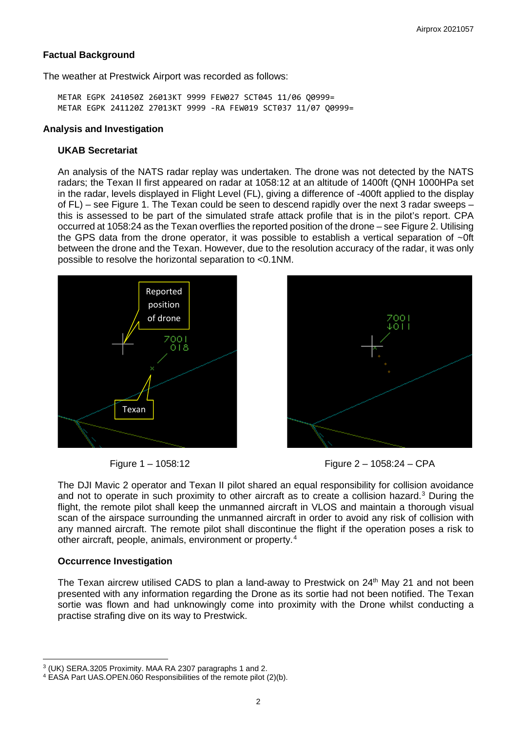### **Factual Background**

The weather at Prestwick Airport was recorded as follows:

METAR EGPK 241050Z 26013KT 9999 FEW027 SCT045 11/06 Q0999= METAR EGPK 241120Z 27013KT 9999 -RA FEW019 SCT037 11/07 Q0999=

#### **Analysis and Investigation**

### **UKAB Secretariat**

An analysis of the NATS radar replay was undertaken. The drone was not detected by the NATS radars; the Texan II first appeared on radar at 1058:12 at an altitude of 1400ft (QNH 1000HPa set in the radar, levels displayed in Flight Level (FL), giving a difference of -400ft applied to the display of FL) – see Figure 1. The Texan could be seen to descend rapidly over the next 3 radar sweeps – this is assessed to be part of the simulated strafe attack profile that is in the pilot's report. CPA occurred at 1058:24 as the Texan overflies the reported position of the drone – see Figure 2. Utilising the GPS data from the drone operator, it was possible to establish a vertical separation of ~0ft between the drone and the Texan. However, due to the resolution accuracy of the radar, it was only possible to resolve the horizontal separation to <0.1NM.





Figure 1 – 1058:12 Figure 2 – 1058:24 – CPA

The DJI Mavic 2 operator and Texan II pilot shared an equal responsibility for collision avoidance and not to operate in such proximity to other aircraft as to create a collision hazard. [3](#page-1-0) During the flight, the remote pilot shall keep the unmanned aircraft in VLOS and maintain a thorough visual scan of the airspace surrounding the unmanned aircraft in order to avoid any risk of collision with any manned aircraft. The remote pilot shall discontinue the flight if the operation poses a risk to other aircraft, people, animals, environment or property.[4](#page-1-1)

## **Occurrence Investigation**

The Texan aircrew utilised CADS to plan a land-away to Prestwick on 24<sup>th</sup> May 21 and not been presented with any information regarding the Drone as its sortie had not been notified. The Texan sortie was flown and had unknowingly come into proximity with the Drone whilst conducting a practise strafing dive on its way to Prestwick.

<span id="page-1-0"></span><sup>3</sup> (UK) SERA.3205 Proximity. MAA RA 2307 paragraphs 1 and 2.

<span id="page-1-1"></span><sup>4</sup> EASA Part UAS.OPEN.060 Responsibilities of the remote pilot (2)(b).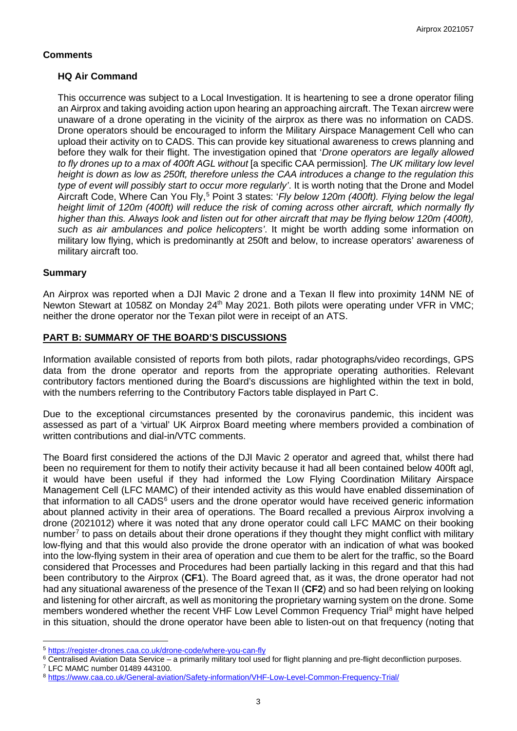# **Comments**

## **HQ Air Command**

This occurrence was subject to a Local Investigation. It is heartening to see a drone operator filing an Airprox and taking avoiding action upon hearing an approaching aircraft. The Texan aircrew were unaware of a drone operating in the vicinity of the airprox as there was no information on CADS. Drone operators should be encouraged to inform the Military Airspace Management Cell who can upload their activity on to CADS. This can provide key situational awareness to crews planning and before they walk for their flight. The investigation opined that '*Drone operators are legally allowed to fly drones up to a max of 400ft AGL without* [a specific CAA permission]*. The UK military low level height is down as low as 250ft, therefore unless the CAA introduces a change to the regulation this type of event will possibly start to occur more regularly'*. It is worth noting that the Drone and Model Aircraft Code, Where Can You Fly, [5](#page-2-0) Point 3 states: '*Fly below 120m (400ft). Flying below the legal height limit of 120m (400ft) will reduce the risk of coming across other aircraft, which normally fly higher than this. Always look and listen out for other aircraft that may be flying below 120m (400ft), such as air ambulances and police helicopters'*. It might be worth adding some information on military low flying, which is predominantly at 250ft and below, to increase operators' awareness of military aircraft too.

## **Summary**

An Airprox was reported when a DJI Mavic 2 drone and a Texan II flew into proximity 14NM NE of Newton Stewart at 1058Z on Monday 24<sup>th</sup> May 2021. Both pilots were operating under VFR in VMC; neither the drone operator nor the Texan pilot were in receipt of an ATS.

# **PART B: SUMMARY OF THE BOARD'S DISCUSSIONS**

Information available consisted of reports from both pilots, radar photographs/video recordings, GPS data from the drone operator and reports from the appropriate operating authorities. Relevant contributory factors mentioned during the Board's discussions are highlighted within the text in bold, with the numbers referring to the Contributory Factors table displayed in Part C.

Due to the exceptional circumstances presented by the coronavirus pandemic, this incident was assessed as part of a 'virtual' UK Airprox Board meeting where members provided a combination of written contributions and dial-in/VTC comments.

The Board first considered the actions of the DJI Mavic 2 operator and agreed that, whilst there had been no requirement for them to notify their activity because it had all been contained below 400ft agl, it would have been useful if they had informed the Low Flying Coordination Military Airspace Management Cell (LFC MAMC) of their intended activity as this would have enabled dissemination of that information to all CADS<sup>[6](#page-2-1)</sup> users and the drone operator would have received generic information about planned activity in their area of operations. The Board recalled a previous Airprox involving a drone (2021012) where it was noted that any drone operator could call LFC MAMC on their booking number<sup>[7](#page-2-2)</sup> to pass on details about their drone operations if they thought they might conflict with military low-flying and that this would also provide the drone operator with an indication of what was booked into the low-flying system in their area of operation and cue them to be alert for the traffic, so the Board considered that Processes and Procedures had been partially lacking in this regard and that this had been contributory to the Airprox (**CF1**). The Board agreed that, as it was, the drone operator had not had any situational awareness of the presence of the Texan II (**CF2**) and so had been relying on looking and listening for other aircraft, as well as monitoring the proprietary warning system on the drone. Some members wondered whether the recent VHF Low Level Common Frequency Trial<sup>[8](#page-2-3)</sup> might have helped in this situation, should the drone operator have been able to listen-out on that frequency (noting that

<span id="page-2-0"></span><sup>5</sup> <https://register-drones.caa.co.uk/drone-code/where-you-can-fly>

<span id="page-2-1"></span><sup>6</sup> Centralised Aviation Data Service – a primarily military tool used for flight planning and pre-flight deconfliction purposes.

<span id="page-2-2"></span><sup>7</sup> LFC MAMC number 01489 443100.

<span id="page-2-3"></span><sup>8</sup> <https://www.caa.co.uk/General-aviation/Safety-information/VHF-Low-Level-Common-Frequency-Trial/>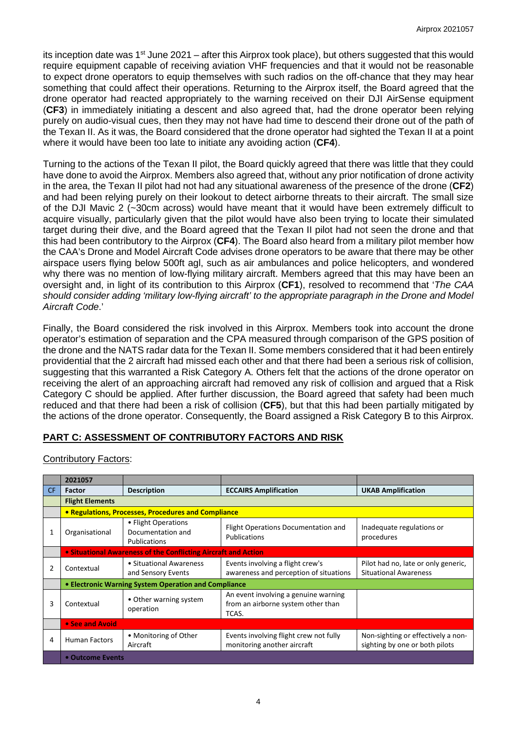its inception date was 1<sup>st</sup> June 2021 – after this Airprox took place), but others suggested that this would require equipment capable of receiving aviation VHF frequencies and that it would not be reasonable to expect drone operators to equip themselves with such radios on the off-chance that they may hear something that could affect their operations. Returning to the Airprox itself, the Board agreed that the drone operator had reacted appropriately to the warning received on their DJI AirSense equipment (**CF3**) in immediately initiating a descent and also agreed that, had the drone operator been relying purely on audio-visual cues, then they may not have had time to descend their drone out of the path of the Texan II. As it was, the Board considered that the drone operator had sighted the Texan II at a point where it would have been too late to initiate any avoiding action (**CF4**).

Turning to the actions of the Texan II pilot, the Board quickly agreed that there was little that they could have done to avoid the Airprox. Members also agreed that, without any prior notification of drone activity in the area, the Texan II pilot had not had any situational awareness of the presence of the drone (**CF2**) and had been relying purely on their lookout to detect airborne threats to their aircraft. The small size of the DJI Mavic 2 (~30cm across) would have meant that it would have been extremely difficult to acquire visually, particularly given that the pilot would have also been trying to locate their simulated target during their dive, and the Board agreed that the Texan II pilot had not seen the drone and that this had been contributory to the Airprox (**CF4**). The Board also heard from a military pilot member how the CAA's Drone and Model Aircraft Code advises drone operators to be aware that there may be other airspace users flying below 500ft agl, such as air ambulances and police helicopters, and wondered why there was no mention of low-flying military aircraft. Members agreed that this may have been an oversight and, in light of its contribution to this Airprox (**CF1**), resolved to recommend that '*The CAA should consider adding 'military low-flying aircraft' to the appropriate paragraph in the Drone and Model Aircraft Code*.'

Finally, the Board considered the risk involved in this Airprox. Members took into account the drone operator's estimation of separation and the CPA measured through comparison of the GPS position of the drone and the NATS radar data for the Texan II. Some members considered that it had been entirely providential that the 2 aircraft had missed each other and that there had been a serious risk of collision, suggesting that this warranted a Risk Category A. Others felt that the actions of the drone operator on receiving the alert of an approaching aircraft had removed any risk of collision and argued that a Risk Category C should be applied. After further discussion, the Board agreed that safety had been much reduced and that there had been a risk of collision (**CF5**), but that this had been partially mitigated by the actions of the drone operator. Consequently, the Board assigned a Risk Category B to this Airprox.

# **PART C: ASSESSMENT OF CONTRIBUTORY FACTORS AND RISK**

|                | 2021057                                                        |                                                          |                                                                                     |                                                                      |  |  |  |
|----------------|----------------------------------------------------------------|----------------------------------------------------------|-------------------------------------------------------------------------------------|----------------------------------------------------------------------|--|--|--|
| CF.            | <b>Factor</b>                                                  | <b>Description</b>                                       | <b>ECCAIRS Amplification</b>                                                        | <b>UKAB Amplification</b>                                            |  |  |  |
|                | <b>Flight Elements</b>                                         |                                                          |                                                                                     |                                                                      |  |  |  |
|                | • Regulations, Processes, Procedures and Compliance            |                                                          |                                                                                     |                                                                      |  |  |  |
|                | Organisational                                                 | • Flight Operations<br>Documentation and<br>Publications | Flight Operations Documentation and<br>Publications                                 | Inadequate regulations or<br>procedures                              |  |  |  |
|                | • Situational Awareness of the Conflicting Aircraft and Action |                                                          |                                                                                     |                                                                      |  |  |  |
| $\overline{2}$ | Contextual                                                     | • Situational Awareness<br>and Sensory Events            | Events involving a flight crew's<br>awareness and perception of situations          | Pilot had no, late or only generic,<br><b>Situational Awareness</b>  |  |  |  |
|                | • Electronic Warning System Operation and Compliance           |                                                          |                                                                                     |                                                                      |  |  |  |
| 3              | • Other warning system<br>Contextual<br>operation              |                                                          | An event involving a genuine warning<br>from an airborne system other than<br>TCAS. |                                                                      |  |  |  |
|                | • See and Avoid                                                |                                                          |                                                                                     |                                                                      |  |  |  |
| 4              | • Monitoring of Other<br><b>Human Factors</b><br>Aircraft      |                                                          | Events involving flight crew not fully<br>monitoring another aircraft               | Non-sighting or effectively a non-<br>sighting by one or both pilots |  |  |  |
|                | • Outcome Events                                               |                                                          |                                                                                     |                                                                      |  |  |  |

## Contributory Factors: